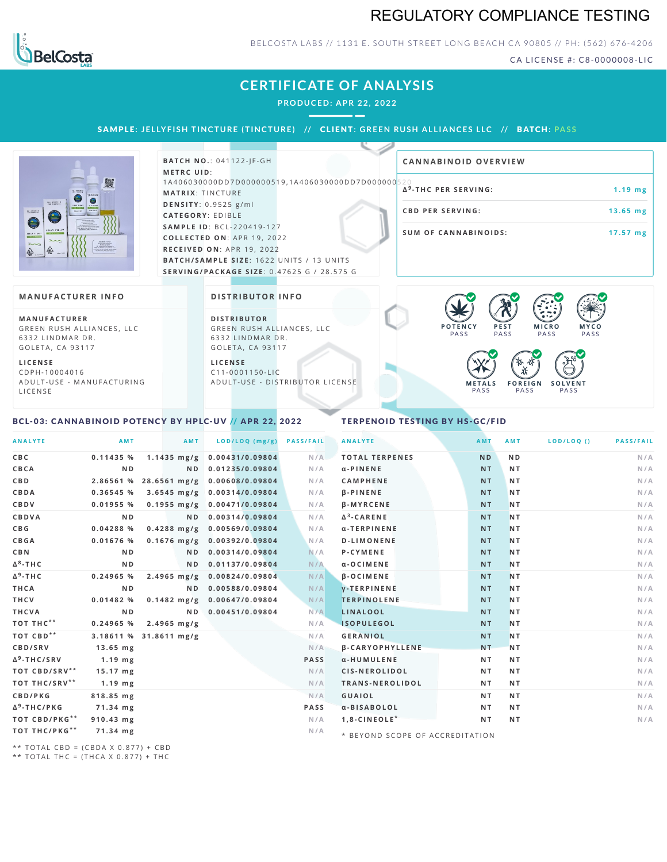# REGULATORY COMPLIANCE TESTING



### BELCOSTA LABS // 1131 E. SOUTH STREET LONG BEACH CA 90805 // PH: (562) 676-4206

CA LICENSE #: C8-0000008-LIC

## **CERTIFICATE OF ANALYSIS**

**PRODUCED: A PR 22, 2022**

SAMPLE: JELLYFISH TINCTURE (TINCTURE) // CLIENT: GREEN RUSH ALLIANCES LLC // BATCH: PASS

|                                                                                                                                                                                                                                                                                                        | <b>BATCH NO.: 041122-IF-GH</b>                                                                                                                                                                                                | <b>CANNABINOID OVERVIEW</b>                                                                |                                       |
|--------------------------------------------------------------------------------------------------------------------------------------------------------------------------------------------------------------------------------------------------------------------------------------------------------|-------------------------------------------------------------------------------------------------------------------------------------------------------------------------------------------------------------------------------|--------------------------------------------------------------------------------------------|---------------------------------------|
| 麗<br>FOLL SPOCIALLE<br><b>STATISTICS</b><br><b>WALTER</b><br>0<br>WHERE EVER<br>the first printers and ( statues scales).<br>JELLY FISH"<br>$\sum$<br>$\begin{array}{c} \text{MOP-10} \times \text{MOP-11} \\ \text{MOP-11} \times \text{MOP-12} \\ \text{MOP-12} \times \text{MOP-13} \\ \end{array}$ | <b>METRC UID:</b><br>1A406030000DD7D000000519,1A406030000DD7D000000520<br><b>MATRIX: TINCTURE</b><br>DENSITY: 0.9525 g/ml<br><b>CATEGORY: EDIBLE</b><br><b>SAMPLE ID: BCL-220419-127</b><br><b>COLLECTED ON: APR 19, 2022</b> | Δ <sup>9</sup> -THC PER SERVING:<br><b>CBD PER SERVING:</b><br><b>SUM OF CANNABINOIDS:</b> | $1.19$ mg<br>$13.65$ mg<br>$17.57$ mg |
| $\frac{1}{2}$<br>OR THE REFOR THAT ARE MADE THE<br>A COLORADO SEMEI FELDI SUA                                                                                                                                                                                                                          | RECEIVED ON: APR 19, 2022                                                                                                                                                                                                     |                                                                                            |                                       |
|                                                                                                                                                                                                                                                                                                        | <b>BATCH/SAMPLE SIZE: 1622 UNITS / 13 UNITS</b>                                                                                                                                                                               |                                                                                            |                                       |
|                                                                                                                                                                                                                                                                                                        | <b>SERVING/PACKAGE SIZE: 0.47625 G / 28.575 G</b>                                                                                                                                                                             |                                                                                            |                                       |
|                                                                                                                                                                                                                                                                                                        |                                                                                                                                                                                                                               |                                                                                            |                                       |
| ANUFACTURER INFO                                                                                                                                                                                                                                                                                       | <b>DISTRIBUTOR INFO</b>                                                                                                                                                                                                       | /                                                                                          |                                       |

#### **MA N UFACTURER I N FO**

**M A N U FAC T U R E R** GREEN RUSH ALLIANCES, LLC 6332 LINDMAR DR. GOLETA, CA 93117

**L I C E N S E** C D P H - 1 0 0 0 4 0 1 6 A D U L T - U S E - M A N U F A C T U R I N G L I C E N S E

#### **DI STRIBUTOR I N FO**

**D I S T R IB U T O R** GREEN RUSH ALLIANCES, LLC 6332 LINDMAR DR. GOLETA, CA 93117

**L I C E N S E** C 1 1 - 0 0 0 1 1 5 0 - L I C A D U L T - U S E - D I STRI B U T O R LICENSE



## <span id="page-0-0"></span>BCL-03: CANNABINOID POTENCY BY HPLC-UV // APR 22, 2022

### TERPENOID TESTING BY HS-GC/FID

| <b>ANALYTE</b>          | AMT                    | AMT                     | LOD/LOQ (mg/g)  | <b>PASS/FAIL</b> | <b>ANALYTE</b>                  | <b>AMT</b>     | AMT            | LOD/LOQ() | <b>PASS/FAIL</b> |
|-------------------------|------------------------|-------------------------|-----------------|------------------|---------------------------------|----------------|----------------|-----------|------------------|
| CBC                     | 0.11435%               | $1.1435 \, \text{mg/g}$ | 0.00431/0.09804 | N/A              | <b>TOTAL TERPENES</b>           | <b>ND</b>      | N <sub>D</sub> |           | N/A              |
| CBCA                    | N <sub>D</sub>         | ND.                     | 0.01235/0.09804 | N/A              | $\alpha$ -PINENE                | NT.            | NT.            |           | N/A              |
| C B D                   | 2.86561 %              | $28.6561 \text{ mg/g}$  | 0.00608/0.09804 | N/A              | <b>CAMPHENE</b>                 | <b>NT</b>      | <b>NT</b>      |           | N/A              |
| CBDA                    | 0.36545 %              | $3.6545 \text{ mg/g}$   | 0.00314/0.09804 | N/A              | <b>B-PINENE</b>                 | NT.            | <b>NT</b>      |           | N/A              |
| CBDV                    | $0.01955$ %            | $0.1955 \, \text{mg/g}$ | 0.00471/0.09804 | N/A              | <b>B-MYRCENE</b>                | <b>NT</b>      | <b>NT</b>      |           | N/A              |
| CBDVA                   | N <sub>D</sub>         | N <sub>D</sub>          | 0.00314/0.09804 | N/A              | $\Delta^3$ -CARENE              | NT.            | <b>NT</b>      |           | N/A              |
| C B G                   | 0.04288 %              | $0.4288$ mg/g           | 0.00569/0.09804 | N/A              | α-TERPINENE                     | NT.            | <b>NT</b>      |           | N/A              |
| CBGA                    | $0.01676$ %            | $0.1676$ mg/g           | 0.00392/0.09804 | N/A              | <b>D-LIMONENE</b>               | <b>NT</b>      | <b>NT</b>      |           | N/A              |
| <b>CBN</b>              | N <sub>D</sub>         | ND.                     | 0.00314/0.09804 | N/A              | <b>P-CYMENE</b>                 | <b>NT</b>      | N <sub>T</sub> |           | N/A              |
| $\Delta^8$ -THC         | N <sub>D</sub>         | N <sub>D</sub>          | 0.01137/0.09804 | N/A              | $\alpha$ -OCIMENE               | <b>NT</b>      | <b>NT</b>      |           | N/A              |
| $\Delta^9$ -THC         | $0.24965$ %            | $2.4965 \text{ mg/g}$   | 0.00824/0.09804 | N/A              | $\beta$ -OCIMENE                | <b>NT</b>      | N <sub>T</sub> |           | N/A              |
| THCA                    | N <sub>D</sub>         | N D                     | 0.00588/0.09804 | N/A              | <b>V-TERPINENE</b>              | <b>NT</b>      | <b>NT</b>      |           | N/A              |
| THCV                    | 0.01482%               | $0.1482$ mg/g           | 0.00647/0.09804 | N/A              | <b>TERPINOLENE</b>              | NT.            | <b>NT</b>      |           | N/A              |
| THCVA                   | N D                    | N <sub>D</sub>          | 0.00451/0.09804 | N/A              | <b>LINALOOL</b>                 | <b>NT</b>      | <b>NT</b>      |           | N/A              |
| TOT THC**               | $0.24965$ %            | $2.4965$ mg/g           |                 | N/A              | <b>ISOPULEGOL</b>               | NT.            | NT.            |           | N/A              |
| TOT CBD <sup>**</sup>   | 3.18611 % 31.8611 mg/g |                         |                 | N/A              | <b>GERANIOL</b>                 | NT.            | N <sub>T</sub> |           | N/A              |
| CBD/SRV                 | $13.65$ mg             |                         |                 | N/A              | <b>B-CARYOPHYLLENE</b>          | N <sub>T</sub> | <b>NT</b>      |           | N/A              |
| $\Delta^9$ -THC/SRV     | $1.19$ mg              |                         |                 | PASS             | α-HUMULENE                      | NT.            | <b>NT</b>      |           | N/A              |
| TOT CBD/SRV**           | $15.17$ mg             |                         |                 | N/A              | CIS-NEROLIDOL                   | NT.            | <b>NT</b>      |           | N/A              |
| TOT THC/SRV**           | $1.19$ mg              |                         |                 | N/A              | TRANS-NEROLIDOL                 | NT.            | NT.            |           | N/A              |
| CBD/PKG                 | 818.85 mg              |                         |                 | N/A              | <b>GUAIOL</b>                   | NT.            | NT.            |           | N/A              |
| Δ <sup>9</sup> -THC/PKG | 71.34 mg               |                         |                 | <b>PASS</b>      | a-BISABOLOL                     | NT.            | N T            |           | N/A              |
| TOT CBD/PKG**           | 910.43 mg              |                         |                 | N/A              | $1.8 - C$ INEOLE <sup>*</sup>   | NT.            | NT.            |           | N/A              |
| TOT THC/PKG**           | 71.34 mg               |                         |                 | N/A              | * BEYOND SCOPE OF ACCREDITATION |                |                |           |                  |

\*\* TOTAL CBD =  $(CBDA X 0.877) + CBD$ 

\*\* TOTAL THC =  $(THCA \times 0.877) + THC$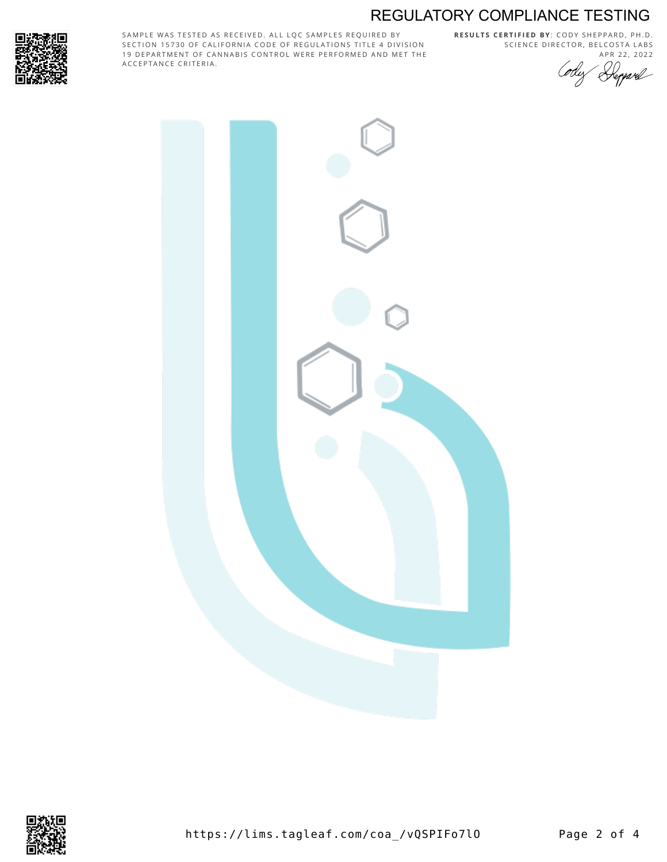# REGULATORY COMPLIANCE TESTING



SAMPLE WAS TESTED AS RECEIVED. ALL LQC SAMPLES REQUIRED BY SECTION 15730 OF CALIFORNIA CODE OF REGULATIONS TITLE 4 DIVISION 19 DEPARTMENT OF CANNABIS CONTROL WERE PERFORMED AND MET THE A C C E P T A N C E C R I T E R I A.

**R E S U L T S C E R T I F I E D BY** : C O D Y S H E P P A R D ,P H .D . SCIENCE DIRECTOR, BELCOSTA LABS





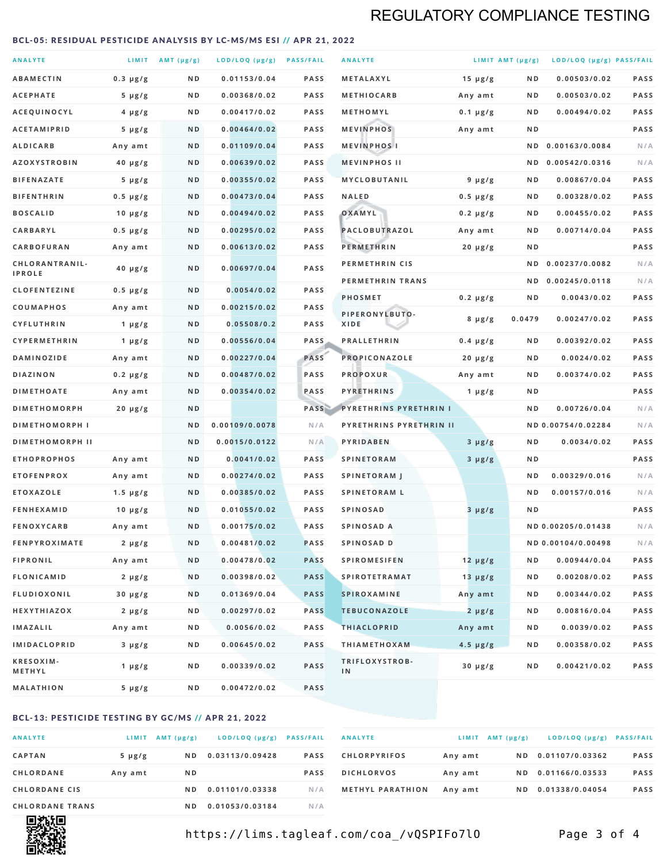# REGULATORY COMPLIANCE TESTING

### <span id="page-2-0"></span>BCL-05: RESIDUAL PESTICIDE ANALYSIS BY LC-MS/MS ESI // APR 21, 2022

| <b>ANALYTE</b>                  |               | LIMIT $AMT (\mu g/g)$ | LOD/LOQ (µg/g) PASS/FAIL |             | <b>ANALYTE</b>                            |               | LIMIT AMT $(\mu g/g)$ | LOD/LOQ (µg/g) PASS/FAIL |             |
|---------------------------------|---------------|-----------------------|--------------------------|-------------|-------------------------------------------|---------------|-----------------------|--------------------------|-------------|
| <b>ABAMECTIN</b>                | $0.3 \mu g/g$ | ND                    | 0.01153/0.04             | <b>PASS</b> | METALAXYL                                 | 15 $\mu$ g/g  | ND                    | 0.00503/0.02             | PASS        |
| <b>ACEPHATE</b>                 | $5 \mu g/g$   | ND                    | 0.00368/0.02             | <b>PASS</b> | <b>METHIOCARB</b>                         | Any amt       | ND.                   | 0.00503/0.02             | PASS        |
| ACEQUINOCYL                     | $4 \mu g/g$   | N D                   | 0.00417/0.02             | <b>PASS</b> | METHOMYL                                  | $0.1 \mu g/g$ | N D                   | 0.00494/0.02             | <b>PASS</b> |
| <b>ACETAMIPRID</b>              | $5 \mu g/g$   | ND                    | 0.00464/0.02             | <b>PASS</b> | <b>MEVINPHOS</b>                          | Any amt       | ND.                   |                          | PASS        |
| ALDICARB                        | Any amt       | N D                   | 0.01109/0.04             | <b>PASS</b> | <b>MEVINPHOSI</b>                         |               | N D                   | 0.00163/0.0084           | N/A         |
| <b>AZOXYSTROBIN</b>             | $40 \mu g/g$  | N D                   | 0.00639/0.02             | <b>PASS</b> | <b>MEVINPHOS II</b>                       |               |                       | ND 0.00542/0.0316        | N/A         |
| <b>BIFENAZATE</b>               | $5 \mu g/g$   | ND                    | 0.00355/0.02             | <b>PASS</b> | <b>MYCLOBUTANIL</b>                       | $9 \mu g/g$   | N D                   | 0.00867/0.04             | PASS        |
| <b>BIFENTHRIN</b>               | $0.5 \mu g/g$ | N D                   | 0.00473/0.04             | <b>PASS</b> | <b>NALED</b>                              | $0.5 \mu g/g$ | N D                   | 0.00328/0.02             | <b>PASS</b> |
| <b>BOSCALID</b>                 | $10 \mu g/g$  | N D                   | 0.00494/0.02             | <b>PASS</b> | OXAMYL                                    | $0.2 \mu g/g$ | N D                   | 0.00455/0.02             | PASS        |
| <b>CARBARYL</b>                 | $0.5 \mu g/g$ | N D                   | 0.00295/0.02             | <b>PASS</b> | PACLOBUTRAZOL                             | Any amt       | N D                   | 0.00714/0.04             | PASS        |
| CARBOFURAN                      | Any amt       | N D                   | 0.00613/0.02             | <b>PASS</b> | <b>PERMETHRIN</b>                         | $20 \mu g/g$  | ND.                   |                          | PASS        |
| CHLORANTRANIL-<br><b>IPROLE</b> | $40 \mu g/g$  | N D                   | 0.00697/0.04             | PASS        | <b>PERMETHRIN CIS</b><br>PERMETHRIN TRANS |               | N D                   | 0.00237/0.0082           | N/A<br>N/A  |
| <b>CLOFENTEZINE</b>             | $0.5 \mu g/g$ | N D                   | 0.0054/0.02              | <b>PASS</b> | <b>PHOSMET</b>                            |               |                       | ND 0.00245/0.0118        | PASS        |
| COUMAPHOS                       | Any amt       | ND                    | 0.00215/0.02             | <b>PASS</b> | PIPERONYLBUTO-                            | $0.2 \mu g/g$ | N D                   | 0.0043/0.02              |             |
| <b>CYFLUTHRIN</b>               | 1 $\mu$ g/g   | ND                    | 0.05508/0.2              | <b>PASS</b> | <b>XIDE</b>                               | $8 \mu g/g$   | 0.0479                | 0.00247/0.02             | <b>PASS</b> |
| <b>CYPERMETHRIN</b>             | 1 $\mu$ g/g   | N D                   | 0.00556/0.04             | <b>PASS</b> | <b>PRALLETHRIN</b>                        | $0.4 \mu g/g$ | ND.                   | 0.00392/0.02             | <b>PASS</b> |
| <b>DAMINOZIDE</b>               | Any amt       | N D                   | 0.00227/0.04             | PASS        | PROPICONAZOLE                             | $20 \mu g/g$  | ND.                   | 0.0024/0.02              | PASS        |
| <b>DIAZINON</b>                 | $0.2 \mu g/g$ | ND                    | 0.00487/0.02             | <b>PASS</b> | <b>PROPOXUR</b>                           | Any amt       | ND                    | 0.00374/0.02             | PASS        |
| <b>DIMETHOATE</b>               | Any amt       | N D                   | 0.00354/0.02             | PASS        | <b>PYRETHRINS</b>                         | 1 $\mu$ g/g   | N D                   |                          | <b>PASS</b> |
| <b>DIMETHOMORPH</b>             | $20 \mu g/g$  | ND                    |                          | PASS        | <b>PYRETHRINS PYRETHRIN I</b>             |               | ND                    | 0.00726/0.04             | N/A         |
| <b>DIMETHOMORPH I</b>           |               | N <sub>D</sub>        | 0.00109/0.0078           | N/A         | PYRETHRINS PYRETHRIN II                   |               |                       | ND 0.00754/0.02284       | N/A         |
| <b>DIMETHOMORPH II</b>          |               | ND                    | 0.0015/0.0122            | N/A         | PYRIDABEN                                 | $3 \mu g/g$   | N D                   | 0.0034/0.02              | PASS        |
| <b>ETHOPROPHOS</b>              | Any amt       | N D                   | 0.0041/0.02              | <b>PASS</b> | <b>SPINETORAM</b>                         | $3 \mu g/g$   | ND.                   |                          | PASS        |
| <b>ETOFENPROX</b>               | Any amt       | ND                    | 0.00274/0.02             | <b>PASS</b> | <b>SPINETORAM J</b>                       |               | N D                   | 0.00329/0.016            | N/A         |
| <b>ETOXAZOLE</b>                | $1.5 \mu g/g$ | N D                   | 0.00385/0.02             | <b>PASS</b> | <b>SPINETORAM L</b>                       |               | N D                   | 0.00157/0.016            | N/A         |
| <b>FENHEXAMID</b>               | 10 $\mu$ g/g  | N D                   | 0.01055/0.02             | <b>PASS</b> | <b>SPINOSAD</b>                           | 3 µg/g        | N D                   |                          | PASS        |
| <b>FENOXYCARB</b>               | Any amt       | ND                    | 0.00175/0.02             | <b>PASS</b> | SPINOSAD A                                |               |                       | ND 0.00205/0.01438       | N/A         |
| <b>FENPYROXIMATE</b>            | $2 \mu g/g$   | N D                   | 0.00481/0.02             | <b>PASS</b> | SPINOSAD D                                |               |                       | ND 0.00104/0.00498       | N/A         |
| <b>FIPRONIL</b>                 | Any amt       | N D                   | 0.00478/0.02             | <b>PASS</b> | <b>SPIROMESIFEN</b>                       | $12 \mu g/g$  | N D                   | 0.00944/0.04             | PASS        |
| FLONICAMID                      | $2 \mu g/g$   | N D                   | 0.00398/0.02             | <b>PASS</b> | <b>SPIROTETRAMAT</b>                      | $13 \mu g/g$  | N D                   | 0.00208/0.02             | PASS        |
| FLUDIOXONIL                     | $30 \mu g/g$  | N D                   | 0.01369/0.04             | <b>PASS</b> | <b>SPIROXAMINE</b>                        | Any amt       | N D                   | 0.00344/0.02             | PASS        |
| HEXYTHIAZOX                     | $2 \mu g/g$   | N D                   | 0.00297/0.02             | <b>PASS</b> | <b>TEBUCONAZOLE</b>                       | $2 \mu g/g$   | N D                   | 0.00816/0.04             | PASS        |
| <b>IMAZALIL</b>                 | Any amt       | N D                   | 0.0056/0.02              | PASS        | <b>THIACLOPRID</b>                        | Any amt       | N D                   | 0.0039/0.02              | PASS        |
| <b>IMIDACLOPRID</b>             | $3 \mu g/g$   | N D                   | 0.00645/0.02             | PASS        | <b>THIAMETHOXAM</b>                       | $4.5 \mu g/g$ | N D                   | 0.00358/0.02             | PASS        |
| <b>KRESOXIM-</b><br>METHYL      | 1 $\mu$ g/g   | N D                   | 0.00339/0.02             | PASS        | TRIFLOXYSTROB-<br>IN                      | $30 \mu g/g$  | ND.                   | 0.00421/0.02             | PASS        |
| <b>MALATHION</b>                | $5 \mu g/g$   | N D                   | 0.00472/0.02             | PASS        |                                           |               |                       |                          |             |

## BCL-13: PESTICIDE TESTING BY GC/MS // APR 21, 2022

| <b>ANALYTE</b>         | <b>LIMIT</b> | $AMT(\mu g/g)$ | LOD/LOQ (µg/g)  | <b>PASS/FAIL</b> |
|------------------------|--------------|----------------|-----------------|------------------|
| <b>CAPTAN</b>          | $5 \mu g/g$  | N D            | 0.03113/0.09428 | <b>PASS</b>      |
| <b>CHLORDANE</b>       | Any amt      | N <sub>D</sub> |                 | <b>PASS</b>      |
| <b>CHLORDANE CIS</b>   |              | ND.            | 0.01101/0.03338 | N/A              |
| <b>CHLORDANE TRANS</b> |              | N D            | 0.01053/0.03184 | N / A            |

| <b>ANALYTE</b>          |         | $LIMIT$ AMT $(\mu g/g)$ | LOD/LOQ (µg/g) PASS/FAIL |             |
|-------------------------|---------|-------------------------|--------------------------|-------------|
| <b>CHLORPYRIFOS</b>     | Any amt | ND.                     | 0.01107/0.03362          | <b>PASS</b> |
| <b>DICHLORVOS</b>       | Any amt | ND.                     | 0.01166/0.03533          | <b>PASS</b> |
| <b>METHYL PARATHION</b> | Any amt | ND.                     | 0.01338/0.04054          | <b>PASS</b> |